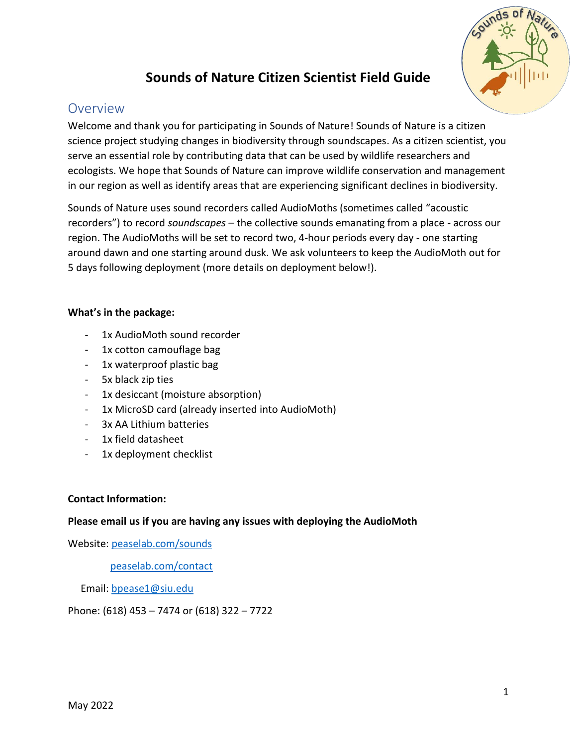

# **Sounds of Nature Citizen Scientist Field Guide**

### Overview

Welcome and thank you for participating in Sounds of Nature! Sounds of Nature is a citizen science project studying changes in biodiversity through soundscapes. As a citizen scientist, you serve an essential role by contributing data that can be used by wildlife researchers and ecologists. We hope that Sounds of Nature can improve wildlife conservation and management in our region as well as identify areas that are experiencing significant declines in biodiversity.

Sounds of Nature uses sound recorders called AudioMoths (sometimes called "acoustic recorders") to record *soundscapes* – the collective sounds emanating from a place - across our region. The AudioMoths will be set to record two, 4-hour periods every day - one starting around dawn and one starting around dusk. We ask volunteers to keep the AudioMoth out for 5 days following deployment (more details on deployment below!).

#### **What's in the package:**

- 1x AudioMoth sound recorder
- 1x cotton camouflage bag
- 1x waterproof plastic bag
- 5x black zip ties
- 1x desiccant (moisture absorption)
- 1x MicroSD card (already inserted into AudioMoth)
- 3x AA Lithium batteries
- 1x field datasheet
- 1x deployment checklist

#### **Contact Information:**

#### **Please email us if you are having any issues with deploying the AudioMoth**

Website:<peaselab.com/sounds>

<peaselab.com/contact>

Email: [bpease1@siu.edu](mailto:bpease1@siu.edu)

Phone: (618) 453 – 7474 or (618) 322 – 7722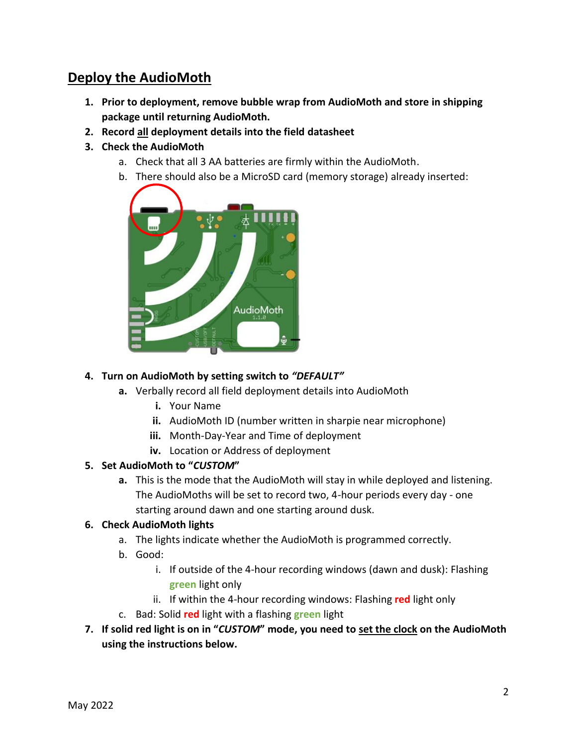## **Deploy the AudioMoth**

- **1. Prior to deployment, remove bubble wrap from AudioMoth and store in shipping package until returning AudioMoth.**
- **2. Record all deployment details into the field datasheet**
- **3. Check the AudioMoth**
	- a. Check that all 3 AA batteries are firmly within the AudioMoth.
	- b. There should also be a MicroSD card (memory storage) already inserted:



#### **4. Turn on AudioMoth by setting switch to** *"DEFAULT"*

- **a.** Verbally record all field deployment details into AudioMoth
	- **i.** Your Name
	- **ii.** AudioMoth ID (number written in sharpie near microphone)
	- **iii.** Month-Day-Year and Time of deployment
	- **iv.** Location or Address of deployment

#### **5. Set AudioMoth to "***CUSTOM***"**

**a.** This is the mode that the AudioMoth will stay in while deployed and listening. The AudioMoths will be set to record two, 4-hour periods every day - one starting around dawn and one starting around dusk.

#### **6. Check AudioMoth lights**

- a. The lights indicate whether the AudioMoth is programmed correctly.
- b. Good:
	- i. If outside of the 4-hour recording windows (dawn and dusk): Flashing **green** light only
	- ii. If within the 4-hour recording windows: Flashing **red** light only
- c. Bad: Solid **red** light with a flashing **green** light
- **7. If solid red light is on in "***CUSTOM***" mode, you need to set the clock on the AudioMoth using the instructions below.**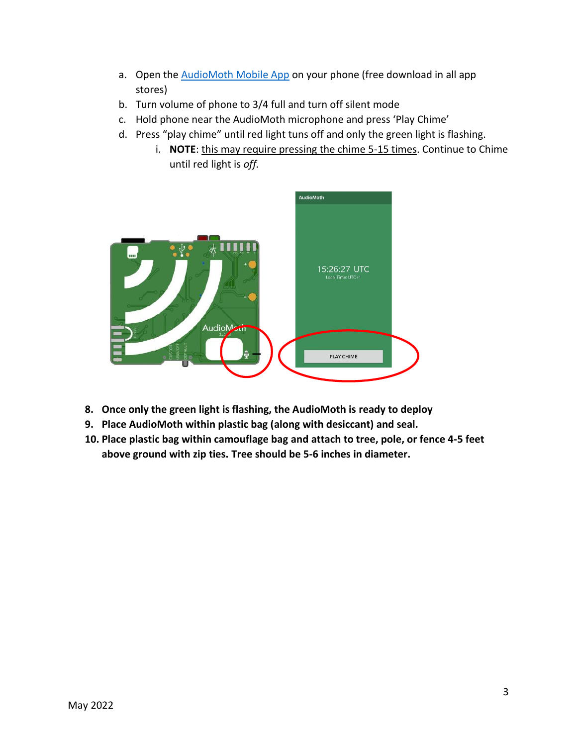- a. Open the [AudioMoth Mobile App](https://www.openacousticdevices.info/mobileapplications) on your phone (free download in all app stores)
- b. Turn volume of phone to 3/4 full and turn off silent mode
- c. Hold phone near the AudioMoth microphone and press 'Play Chime'
- d. Press "play chime" until red light tuns off and only the green light is flashing.
	- i. **NOTE**: this may require pressing the chime 5-15 times. Continue to Chime until red light is *off.*



- **8. Once only the green light is flashing, the AudioMoth is ready to deploy**
- **9. Place AudioMoth within plastic bag (along with desiccant) and seal.**
- **10. Place plastic bag within camouflage bag and attach to tree, pole, or fence 4-5 feet above ground with zip ties. Tree should be 5-6 inches in diameter.**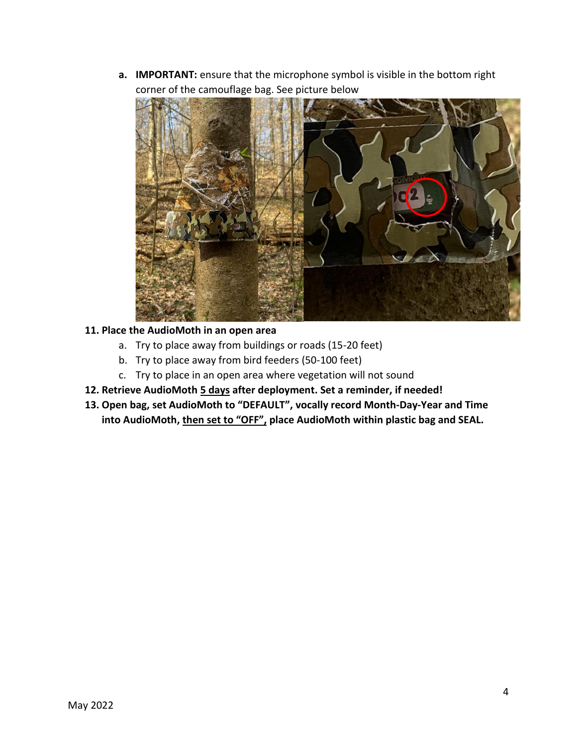**a. IMPORTANT:** ensure that the microphone symbol is visible in the bottom right corner of the camouflage bag. See picture below



#### **11. Place the AudioMoth in an open area**

- a. Try to place away from buildings or roads (15-20 feet)
- b. Try to place away from bird feeders (50-100 feet)
- c. Try to place in an open area where vegetation will not sound
- **12. Retrieve AudioMoth 5 days after deployment. Set a reminder, if needed!**
- **13. Open bag, set AudioMoth to "DEFAULT", vocally record Month-Day-Year and Time into AudioMoth, then set to "OFF", place AudioMoth within plastic bag and SEAL.**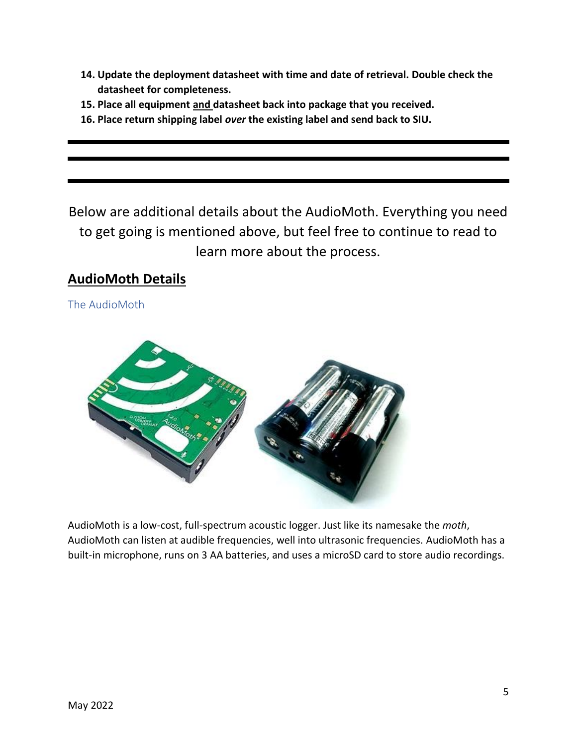- **14. Update the deployment datasheet with time and date of retrieval. Double check the datasheet for completeness.**
- **15. Place all equipment and datasheet back into package that you received.**
- **16. Place return shipping label** *over* **the existing label and send back to SIU.**

Below are additional details about the AudioMoth. Everything you need to get going is mentioned above, but feel free to continue to read to learn more about the process.

### **AudioMoth Details**

The AudioMoth



AudioMoth is a low-cost, full-spectrum acoustic logger. Just like its namesake the *moth*, AudioMoth can listen at audible frequencies, well into ultrasonic frequencies. AudioMoth has a built-in microphone, runs on 3 AA batteries, and uses a microSD card to store audio recordings.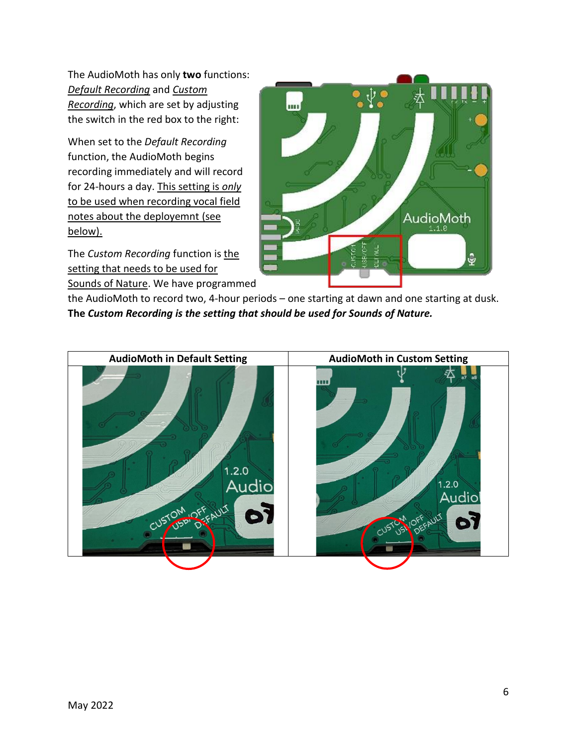The AudioMoth has only **two** functions: *Default Recording* and *Custom Recording*, which are set by adjusting the switch in the red box to the right:

When set to the *Default Recording* function, the AudioMoth begins recording immediately and will record for 24-hours a day. This setting is *only* to be used when recording vocal field notes about the deployemnt (see below).

The *Custom Recording* function is the setting that needs to be used for Sounds of Nature. We have programmed



the AudioMoth to record two, 4-hour periods – one starting at dawn and one starting at dusk. **The** *Custom Recording is the setting that should be used for Sounds of Nature.*

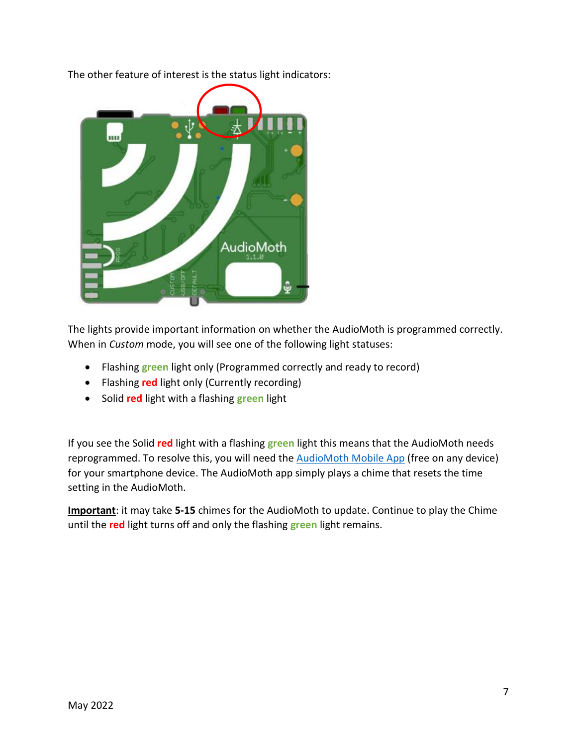The other feature of interest is the status light indicators:



The lights provide important information on whether the AudioMoth is programmed correctly. When in *Custom* mode, you will see one of the following light statuses:

- Flashing **green** light only (Programmed correctly and ready to record)
- Flashing **red** light only (Currently recording)
- Solid **red** light with a flashing **green** light

If you see the Solid **red** light with a flashing **green** light this means that the AudioMoth needs reprogrammed. To resolve this, you will need the [AudioMoth Mobile App](https://www.openacousticdevices.info/mobileapplications) (free on any device) for your smartphone device. The AudioMoth app simply plays a chime that resets the time setting in the AudioMoth.

**Important**: it may take **5-15** chimes for the AudioMoth to update. Continue to play the Chime until the **red** light turns off and only the flashing **green** light remains.